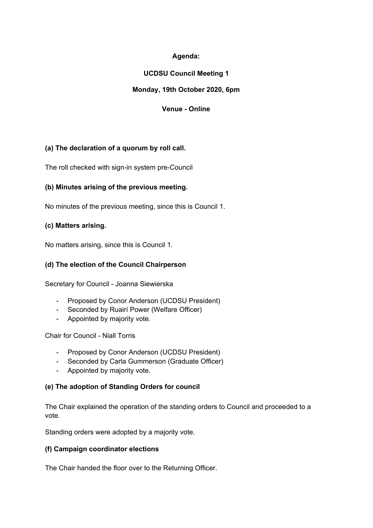## **Agenda:**

## **UCDSU Council Meeting 1**

## **Monday, 19th October 2020, 6pm**

## **Venue - Online**

## **(a) The declaration of a quorum by roll call.**

The roll checked with sign-in system pre-Council

## **(b) Minutes arising of the previous meeting.**

No minutes of the previous meeting, since this is Council 1.

### **(c) Matters arising.**

No matters arising, since this is Council 1.

## **(d) The election of the Council Chairperson**

Secretary for Council - Joanna Siewierska

- Proposed by Conor Anderson (UCDSU President)
- Seconded by Ruairí Power (Welfare Officer)
- Appointed by majority vote.

Chair for Council - Niall Torris

- Proposed by Conor Anderson (UCDSU President)
- Seconded by Carla Gummerson (Graduate Officer)
- Appointed by majority vote.

## **(e) The adoption of Standing Orders for council**

The Chair explained the operation of the standing orders to Council and proceeded to a vote.

Standing orders were adopted by a majority vote.

#### **(f) Campaign coordinator elections**

The Chair handed the floor over to the Returning Officer.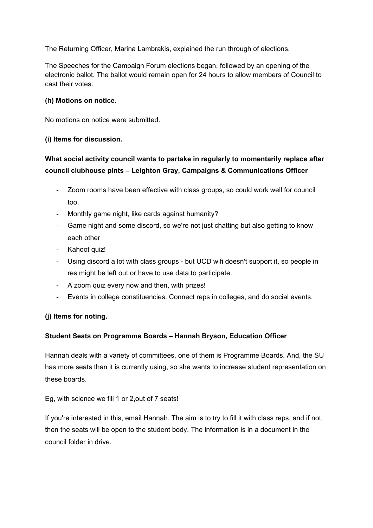The Returning Officer, Marina Lambrakis, explained the run through of elections.

The Speeches for the Campaign Forum elections began, followed by an opening of the electronic ballot. The ballot would remain open for 24 hours to allow members of Council to cast their votes.

## **(h) Motions on notice.**

No motions on notice were submitted.

### **(i) Items for discussion.**

# **What social activity council wants to partake in regularly to momentarily replace after council clubhouse pints – Leighton Gray, Campaigns & Communications Officer**

- Zoom rooms have been effective with class groups, so could work well for council too.
- Monthly game night, like cards against humanity?
- Game night and some discord, so we're not just chatting but also getting to know each other
- Kahoot quiz!
- Using discord a lot with class groups but UCD wifi doesn't support it, so people in res might be left out or have to use data to participate.
- A zoom quiz every now and then, with prizes!
- Events in college constituencies. Connect reps in colleges, and do social events.

## **(j) Items for noting.**

## **Student Seats on Programme Boards – Hannah Bryson, Education Officer**

Hannah deals with a variety of committees, one of them is Programme Boards. And, the SU has more seats than it is currently using, so she wants to increase student representation on these boards.

Eg, with science we fill 1 or 2,out of 7 seats!

If you're interested in this, email Hannah. The aim is to try to fill it with class reps, and if not, then the seats will be open to the student body. The information is in a document in the council folder in drive.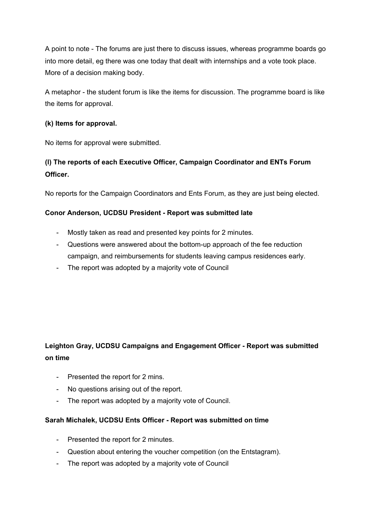A point to note - The forums are just there to discuss issues, whereas programme boards go into more detail, eg there was one today that dealt with internships and a vote took place. More of a decision making body.

A metaphor - the student forum is like the items for discussion. The programme board is like the items for approval.

## **(k) Items for approval.**

No items for approval were submitted.

# **(l) The reports of each Executive Officer, Campaign Coordinator and ENTs Forum Officer.**

No reports for the Campaign Coordinators and Ents Forum, as they are just being elected.

## **Conor Anderson, UCDSU President - Report was submitted late**

- Mostly taken as read and presented key points for 2 minutes.
- Questions were answered about the bottom-up approach of the fee reduction campaign, and reimbursements for students leaving campus residences early.
- The report was adopted by a majority vote of Council

# **Leighton Gray, UCDSU Campaigns and Engagement Officer - Report was submitted on time**

- Presented the report for 2 mins.
- No questions arising out of the report.
- The report was adopted by a majority vote of Council.

#### **Sarah Michalek, UCDSU Ents Officer - Report was submitted on time**

- Presented the report for 2 minutes.
- Question about entering the voucher competition (on the Entstagram).
- The report was adopted by a majority vote of Council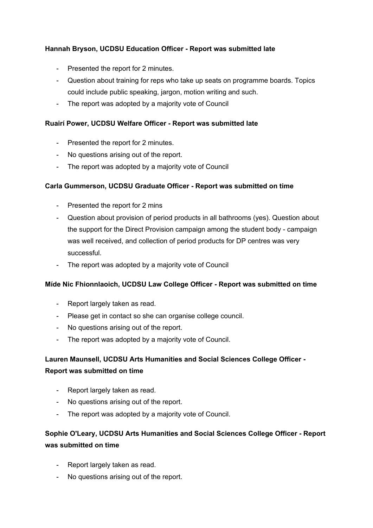## **Hannah Bryson, UCDSU Education Officer - Report was submitted late**

- Presented the report for 2 minutes.
- Question about training for reps who take up seats on programme boards. Topics could include public speaking, jargon, motion writing and such.
- The report was adopted by a majority vote of Council

### **Ruairí Power, UCDSU Welfare Officer - Report was submitted late**

- Presented the report for 2 minutes.
- No questions arising out of the report.
- The report was adopted by a majority vote of Council

### **Carla Gummerson, UCDSU Graduate Officer - Report was submitted on time**

- Presented the report for 2 mins
- Question about provision of period products in all bathrooms (yes). Question about the support for the Direct Provision campaign among the student body - campaign was well received, and collection of period products for DP centres was very successful.
- The report was adopted by a majority vote of Council

## **Míde Nic Fhionnlaoich, UCDSU Law College Officer - Report was submitted on time**

- Report largely taken as read.
- Please get in contact so she can organise college council.
- No questions arising out of the report.
- The report was adopted by a majority vote of Council.

## **Lauren Maunsell, UCDSU Arts Humanities and Social Sciences College Officer - Report was submitted on time**

- Report largely taken as read.
- No questions arising out of the report.
- The report was adopted by a majority vote of Council.

## **Sophie O'Leary, UCDSU Arts Humanities and Social Sciences College Officer - Report was submitted on time**

- Report largely taken as read.
- No questions arising out of the report.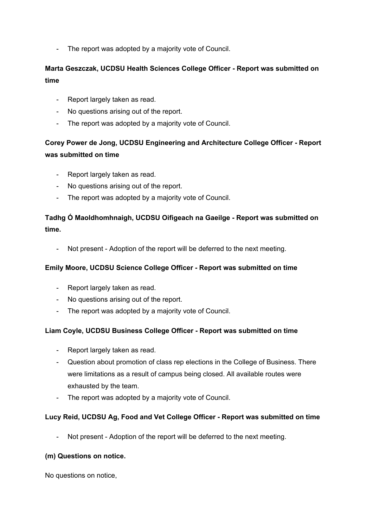- The report was adopted by a majority vote of Council.

## **Marta Geszczak, UCDSU Health Sciences College Officer - Report was submitted on time**

- Report largely taken as read.
- No questions arising out of the report.
- The report was adopted by a majority vote of Council.

# **Corey Power de Jong, UCDSU Engineering and Architecture College Officer - Report was submitted on time**

- Report largely taken as read.
- No questions arising out of the report.
- The report was adopted by a majority vote of Council.

## **Tadhg Ó Maoldhomhnaigh, UCDSU Oifigeach na Gaeilge - Report was submitted on time.**

- Not present - Adoption of the report will be deferred to the next meeting.

## **Emily Moore, UCDSU Science College Officer - Report was submitted on time**

- Report largely taken as read.
- No questions arising out of the report.
- The report was adopted by a majority vote of Council.

#### **Liam Coyle, UCDSU Business College Officer - Report was submitted on time**

- Report largely taken as read.
- Question about promotion of class rep elections in the College of Business. There were limitations as a result of campus being closed. All available routes were exhausted by the team.
- The report was adopted by a majority vote of Council.

## **Lucy Reid, UCDSU Ag, Food and Vet College Officer - Report was submitted on time**

Not present - Adoption of the report will be deferred to the next meeting.

#### **(m) Questions on notice.**

No questions on notice,